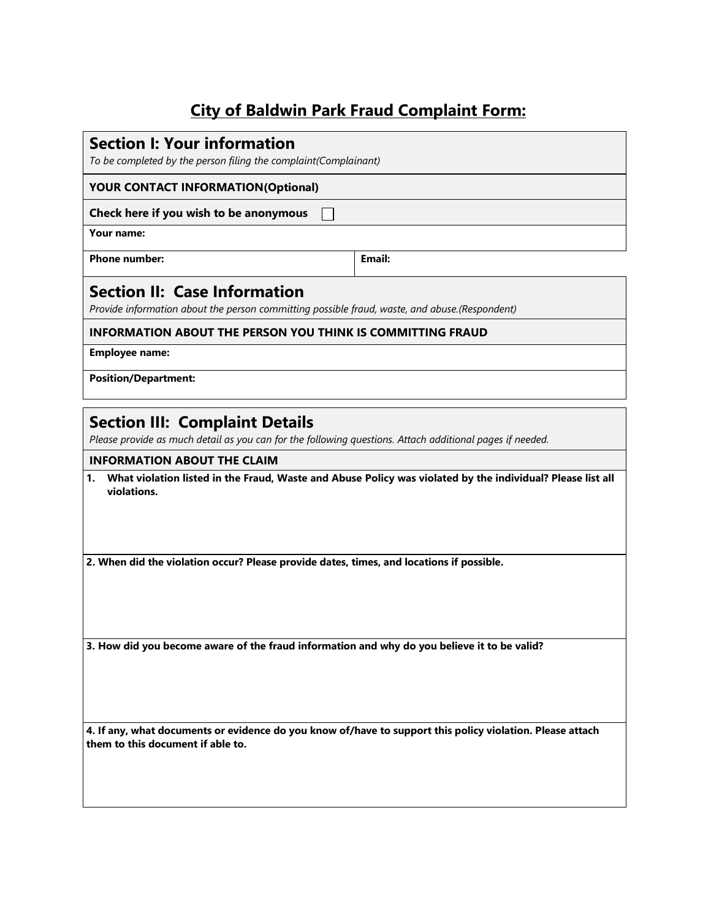# **City of Baldwin Park Fraud Complaint Form:**

### **Section I: Your information**

*To be completed by the person filing the complaint(Complainant)*

### **YOUR CONTACT INFORMATION(Optional)**

#### **Check here if you wish to be anonymous**

**Your name:**

**Phone** number: **Email: Email: Email:** 

### **Section II: Case Information**

*Provide information about the person committing possible fraud, waste, and abuse.(Respondent)*

 $\Box$ 

### **INFORMATION ABOUT THE PERSON YOU THINK IS COMMITTING FRAUD**

**Employee name:**

#### **Position/Department:**

### **Section III: Complaint Details**

*Please provide as much detail as you can for the following questions. Attach additional pages if needed.*

#### **INFORMATION ABOUT THE CLAIM**

**1. What violation listed in the Fraud, Waste and Abuse Policy was violated by the individual? Please list all violations.**

**2. When did the violation occur? Please provide dates, times, and locations if possible.** 

**3. How did you become aware of the fraud information and why do you believe it to be valid?** 

**4. If any, what documents or evidence do you know of/have to support this policy violation. Please attach them to this document if able to.**